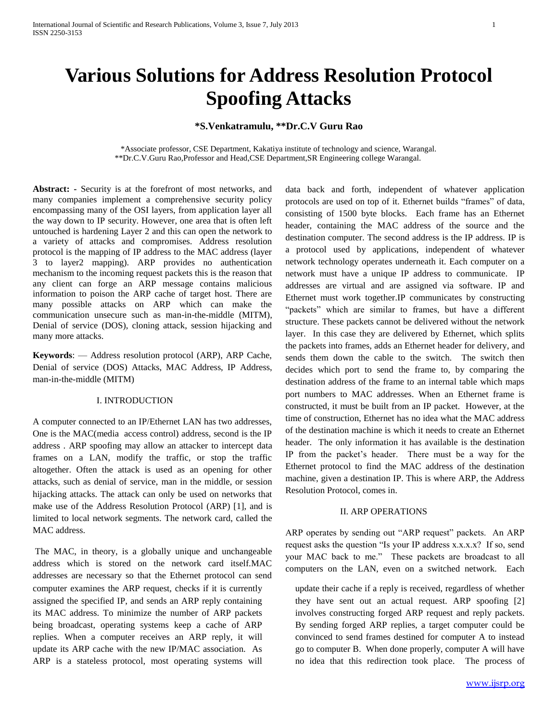# **\*S.Venkatramulu, \*\*Dr.C.V Guru Rao**

\*Associate professor, CSE Department, Kakatiya institute of technology and science, Warangal. \*\*Dr.C.V.Guru Rao,Professor and Head,CSE Department,SR Engineering college Warangal.

**Abstract: -** Security is at the forefront of most networks, and many companies implement a comprehensive security policy encompassing many of the OSI layers, from application layer all the way down to IP security. However, one area that is often left untouched is hardening Layer 2 and this can open the network to a variety of attacks and compromises. Address resolution protocol is the mapping of IP address to the MAC address (layer 3 to layer2 mapping). ARP provides no authentication mechanism to the incoming request packets this is the reason that any client can forge an ARP message contains malicious information to poison the ARP cache of target host. There are many possible attacks on ARP which can make the communication unsecure such as man-in-the-middle (MITM), Denial of service (DOS), cloning attack, session hijacking and many more attacks.

**Keywords**: — Address resolution protocol (ARP), ARP Cache, Denial of service (DOS) Attacks, MAC Address, IP Address, man-in-the-middle (MITM)

## I. INTRODUCTION

A computer connected to an IP/Ethernet LAN has two addresses, One is the MAC(media access control) address, second is the IP address . ARP spoofing may allow an attacker to intercept [data](http://en.wikipedia.org/wiki/Data_frame)  [frames](http://en.wikipedia.org/wiki/Data_frame) on a LAN, modify the traffic, or stop the traffic altogether. Often the attack is used as an opening for other attacks, such as [denial of service,](http://en.wikipedia.org/wiki/Denial_of_service) [man in the middle,](http://en.wikipedia.org/wiki/Man-in-the-middle_attack) or [session](http://en.wikipedia.org/wiki/Session_hijacking)  [hijacking](http://en.wikipedia.org/wiki/Session_hijacking) attacks. The attack can only be used on networks that make use of the [Address Resolution Protocol](http://en.wikipedia.org/wiki/Address_Resolution_Protocol) (ARP) [1], and is limited to local network segments. The network card, called the MAC address.

The MAC, in theory, is a globally unique and unchangeable address which is stored on the network card itself.MAC addresses are necessary so that the Ethernet protocol can send computer examines the ARP request, checks if it is currently assigned the specified IP, and sends an ARP reply containing its MAC address. To minimize the number of ARP packets being broadcast, operating systems keep a cache of ARP replies. When a computer receives an ARP reply, it will update its ARP cache with the new IP/MAC association. As ARP is a stateless protocol, most operating systems will

data back and forth, independent of whatever application protocols are used on top of it. Ethernet builds "frames" of data, consisting of 1500 byte blocks. Each frame has an Ethernet header, containing the MAC address of the source and the destination computer. The second address is the IP address. IP is a protocol used by applications, independent of whatever network technology operates underneath it. Each computer on a network must have a unique IP address to communicate. IP addresses are virtual and are assigned via software. IP and Ethernet must work together.IP communicates by constructing "packets" which are similar to frames, but have a different structure. These packets cannot be delivered without the network layer. In this case they are delivered by Ethernet, which splits the packets into frames, adds an Ethernet header for delivery, and sends them down the cable to the switch. The switch then decides which port to send the frame to, by comparing the destination address of the frame to an internal table which maps port numbers to MAC addresses. When an Ethernet frame is constructed, it must be built from an IP packet. However, at the time of construction, Ethernet has no idea what the MAC address of the destination machine is which it needs to create an Ethernet header. The only information it has available is the destination IP from the packet's header. There must be a way for the Ethernet protocol to find the MAC address of the destination machine, given a destination IP. This is where ARP, the Address Resolution Protocol, comes in.

#### II. ARP OPERATIONS

ARP operates by sending out "ARP request" packets. An ARP request asks the question "Is your IP address x.x.x.x? If so, send your MAC back to me." These packets are broadcast to all computers on the LAN, even on a switched network. Each

update their cache if a reply is received, regardless of whether they have sent out an actual request. ARP spoofing [2] involves constructing forged ARP request and reply packets. By sending forged ARP replies, a target computer could be convinced to send frames destined for computer A to instead go to computer B. When done properly, computer A will have no idea that this redirection took place. The process of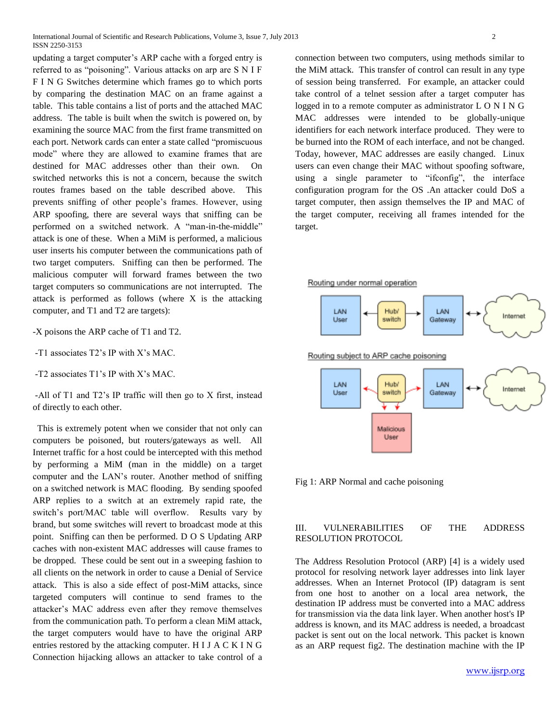updating a target computer's ARP cache with a forged entry is referred to as "poisoning". Various attacks on arp are S N I F F I N G Switches determine which frames go to which ports by comparing the destination MAC on an frame against a table. This table contains a list of ports and the attached MAC address. The table is built when the switch is powered on, by examining the source MAC from the first frame transmitted on each port. Network cards can enter a state called "promiscuous mode" where they are allowed to examine frames that are destined for MAC addresses other than their own. On switched networks this is not a concern, because the switch routes frames based on the table described above. This prevents sniffing of other people's frames. However, using ARP spoofing, there are several ways that sniffing can be performed on a switched network. A "man-in-the-middle" attack is one of these. When a MiM is performed, a malicious user inserts his computer between the communications path of two target computers. Sniffing can then be performed. The malicious computer will forward frames between the two target computers so communications are not interrupted. The attack is performed as follows (where X is the attacking computer, and T1 and T2 are targets):

-X poisons the ARP cache of T1 and T2.

-T1 associates T2's IP with X's MAC.

-T2 associates T1's IP with X's MAC.

-All of T1 and T2's IP traffic will then go to X first, instead of directly to each other.

 This is extremely potent when we consider that not only can computers be poisoned, but routers/gateways as well. All Internet traffic for a host could be intercepted with this method by performing a MiM (man in the middle) on a target computer and the LAN's router. Another method of sniffing on a switched network is MAC flooding. By sending spoofed ARP replies to a switch at an extremely rapid rate, the switch's port/MAC table will overflow. Results vary by brand, but some switches will revert to broadcast mode at this point. Sniffing can then be performed. D O S Updating ARP caches with non-existent MAC addresses will cause frames to be dropped. These could be sent out in a sweeping fashion to all clients on the network in order to cause a Denial of Service attack. This is also a side effect of post-MiM attacks, since targeted computers will continue to send frames to the attacker's MAC address even after they remove themselves from the communication path. To perform a clean MiM attack, the target computers would have to have the original ARP entries restored by the attacking computer. H I J A C K I N G Connection hijacking allows an attacker to take control of a connection between two computers, using methods similar to the MiM attack. This transfer of control can result in any type of session being transferred. For example, an attacker could take control of a telnet session after a target computer has logged in to a remote computer as administrator L O N I N G MAC addresses were intended to be globally-unique identifiers for each network interface produced. They were to be burned into the ROM of each interface, and not be changed. Today, however, MAC addresses are easily changed. Linux users can even change their MAC without spoofing software, using a single parameter to "ifconfig", the interface configuration program for the OS .An attacker could DoS a target computer, then assign themselves the IP and MAC of the target computer, receiving all frames intended for the target.

Routing under normal operation



Fig 1: ARP Normal and cache poisoning

#### III. VULNERABILITIES OF THE ADDRESS RESOLUTION PROTOCOL

The [Address Resolution Protocol](http://en.wikipedia.org/wiki/Address_Resolution_Protocol) (ARP) [4] is a widely used [protocol](http://en.wikipedia.org/wiki/Communications_protocol) for resolving [network layer](http://en.wikipedia.org/wiki/Network_layer) addresses into [link layer](http://en.wikipedia.org/wiki/Link_layer) addresses. When an [Internet Protocol](http://en.wikipedia.org/wiki/Internet_Protocol) (IP) [datagram](http://en.wikipedia.org/wiki/Datagram) is sent from one host to another on a [local area network,](http://en.wikipedia.org/wiki/Local_area_network) the destination IP address must be converted into a [MAC address](http://en.wikipedia.org/wiki/MAC_address) for transmission via the [data link layer.](http://en.wikipedia.org/wiki/Data_link_layer) When another host's IP address is known, and its MAC address is needed, a [broadcast](http://en.wikipedia.org/wiki/Broadcast_packet)  [packet](http://en.wikipedia.org/wiki/Broadcast_packet) is sent out on the local network. This packet is known as an ARP request fig2. The destination machine with the IP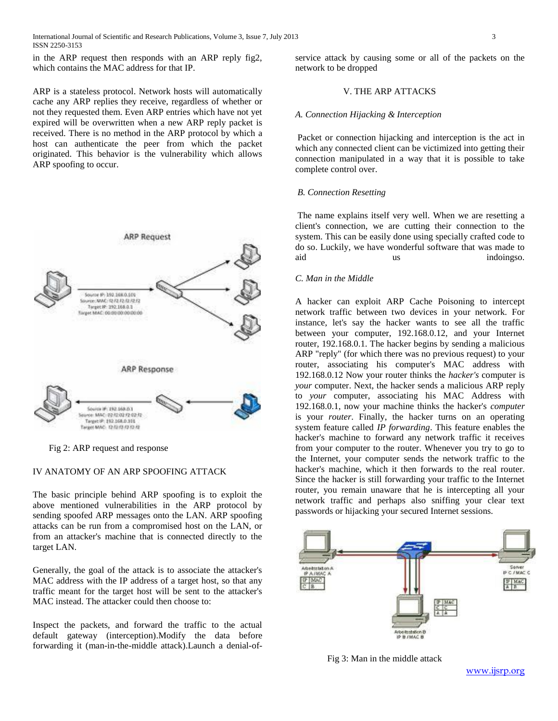in the ARP request then responds with an ARP reply fig2, which contains the MAC address for that IP.

ARP is a [stateless protocol.](http://en.wikipedia.org/wiki/Stateless_protocol) Network hosts will automatically [cache](http://en.wikipedia.org/wiki/Cache_%28computing%29) any ARP replies they receive, regardless of whether or not they requested them. Even ARP entries which have not yet expired will be overwritten when a new ARP reply packet is received. There is no method in the ARP protocol by which a host can [authenticate](http://en.wikipedia.org/wiki/Authenticate) the peer from which the packet originated. This behavior is the vulnerability which allows ARP spoofing to occur.



Fig 2: ARP request and response

## IV ANATOMY OF AN ARP SPOOFING ATTACK

The basic principle behind ARP spoofing is to exploit the above mentioned vulnerabilities in the ARP protocol by sending [spoofed](http://en.wikipedia.org/wiki/Spoofing_attack) ARP messages onto the LAN. ARP spoofing attacks can be run from a compromised host on the LAN, or from an attacker's machine that is connected directly to the target LAN.

Generally, the goal of the attack is to associate the attacker's [MAC address](http://en.wikipedia.org/wiki/MAC_address) with the [IP address](http://en.wikipedia.org/wiki/IP_address) of a target [host,](http://en.wikipedia.org/wiki/Host_%28network%29) so that any traffic meant for the target host will be sent to the attacker's MAC instead. The attacker could then choose to:

Inspect the packets, and forward the traffic to the actual default gateway (interception).Modify the data before forwarding it [\(man-in-the-middle attack\)](http://en.wikipedia.org/wiki/Man-in-the-middle_attack).Launch a [denial-of-](http://en.wikipedia.org/wiki/Denial-of-service_attack) [service attack](http://en.wikipedia.org/wiki/Denial-of-service_attack) by causing some or all of the packets on the network to be dropped

## V. THE ARP ATTACKS

#### *A. Connection Hijacking & Interception*

Packet or connection hijacking and interception is the act in which any connected client can be victimized into getting their connection manipulated in a way that it is possible to take complete control over.

## *B. Connection Resetting*

The name explains itself very well. When we are resetting a client's connection, we are cutting their connection to the system. This can be easily done using specially crafted code to do so. Luckily, we have wonderful software that was made to aid us indoingso.

## *C. Man in the Middle*

A hacker can exploit ARP Cache Poisoning to intercept network traffic between two devices in your network. For instance, let's say the hacker wants to see all the traffic between your computer, 192.168.0.12, and your Internet router, 192.168.0.1. The hacker begins by sending a malicious ARP "reply" (for which there was no previous request) to your router, associating his computer's MAC address with 192.168.0.12 Now your router thinks the *hacker's* computer is *your* computer. Next, the hacker sends a malicious ARP reply to *your* computer, associating his MAC Address with 192.168.0.1, now your machine thinks the hacker's *computer* is your *router*. Finally, the hacker turns on an operating system feature called *IP forwarding*. This feature enables the hacker's machine to forward any network traffic it receives from your computer to the router. Whenever you try to go to the Internet, your computer sends the network traffic to the hacker's machine, which it then forwards to the real router. Since the hacker is still forwarding your traffic to the Internet router, you remain unaware that he is intercepting all your network traffic and perhaps also sniffing your clear text passwords or [hijacking](http://www.watchguard.com/glossary/s.asp#session_hijacking) your secured Internet sessions.



Fig 3: Man in the middle attack

www.ijsrp.org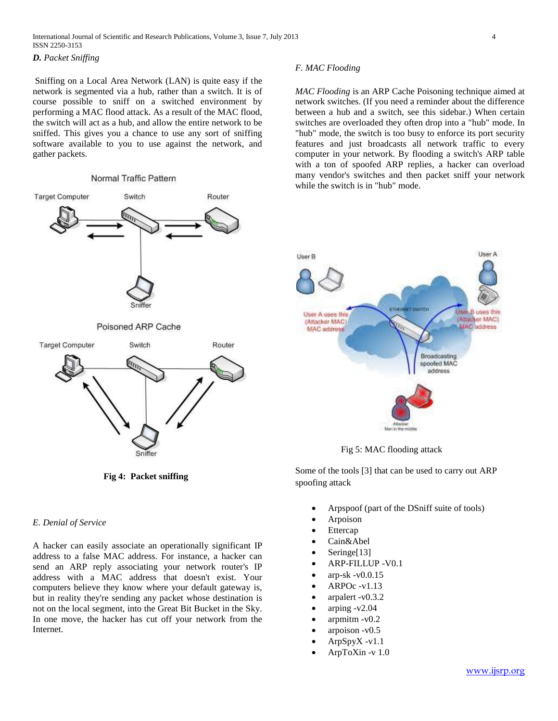*D. [Packet Sniffing](http://www.insecure.in/arp_attack.asp)*

Sniffing on a Local Area Network (LAN) is quite easy if the network is segmented via a hub, rather than a switch. It is of course possible to sniff on a switched environment by performing a MAC flood attack. As a result of the MAC flood, the switch will act as a hub, and allow the entire network to be sniffed. This gives you a chance to use any sort of sniffing software available to you to use against the network, and gather packets.

#### Normal Traffic Pattern



 **Fig 4: Packet sniffing**

## *E. Denial of Service*

A hacker can easily associate an operationally significant IP address to a false MAC address. For instance, a hacker can send an ARP reply associating your network router's IP address with a MAC address that doesn't exist. Your computers believe they know where your default gateway is, but in reality they're sending any packet whose destination is not on the local segment, into the Great Bit Bucket in the Sky. In one move, the hacker has cut off your network from the Internet.

#### *F. MAC Flooding*

*MAC Flooding* is an ARP Cache Poisoning technique aimed at network switches. (If you need a reminder about the difference between a hub and a switch, see this [sidebar.\)](http://www.watchguard.com/archive/files/images/Hub-Switch.sidebar.htm) When certain switches are overloaded they often drop into a "hub" mode. In "hub" mode, the switch is too busy to enforce its port security features and just broadcasts all network traffic to every computer in your network. By flooding a switch's ARP table with a ton of spoofed ARP replies, a hacker can overload many vendor's switches and then [packet sniff](http://www.robertgraham.com/pubs/sniffing-faq.html) your network while the switch is in "hub" mode.



Fig 5: MAC flooding attack

Some of the tools [3] that can be used to carry out ARP spoofing attack

- Arpspoof (part of the [DSniff](http://en.wikipedia.org/wiki/DSniff) suite of tools)
- Arpoison
- [Ettercap](http://en.wikipedia.org/wiki/Ettercap_%28computing%29)
- [Cain&Abel](http://en.wikipedia.org/wiki/Cain_and_Abel_%28software%29)
- Sering[e\[13\]](http://en.wikipedia.org/wiki/ARP_spoofing#cite_note-12)
- ARP-FILLUP -V0.1
- arp-sk -v0.0.15
- ARPOc -v1.13
- arpalert -v0.3.2
- arping -v2.04
- arpmitm -v0.2
- arpoison -v0.5
- ArpSpyX -v1.1
- ArpToXin -v 1.0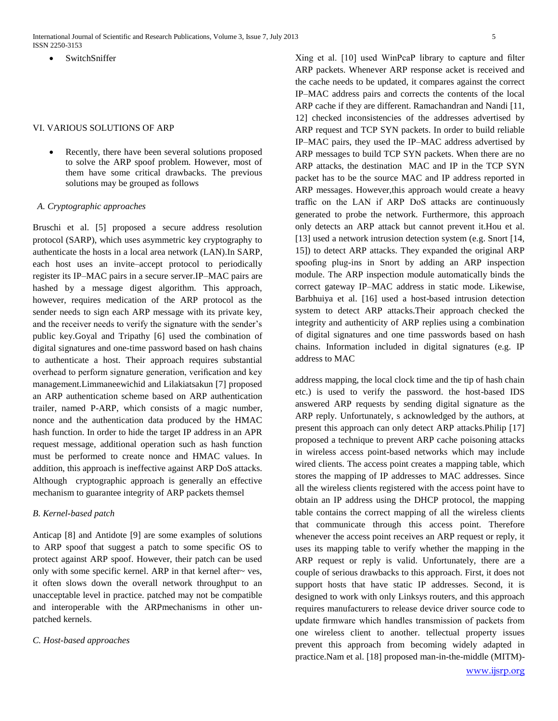International Journal of Scientific and Research Publications, Volume 3, Issue 7, July 2013 5 ISSN 2250-3153

SwitchSniffer

#### VI. VARIOUS SOLUTIONS OF ARP

 Recently, there have been several solutions proposed to solve the ARP spoof problem. However, most of them have some critical drawbacks. The previous solutions may be grouped as follows

#### *A. Cryptographic approaches*

Bruschi et al. [5] proposed a secure address resolution protocol (SARP), which uses asymmetric key cryptography to authenticate the hosts in a local area network (LAN).In SARP, each host uses an invite–accept protocol to periodically register its IP–MAC pairs in a secure server.IP–MAC pairs are hashed by a message digest algorithm. This approach, however, requires medication of the ARP protocol as the sender needs to sign each ARP message with its private key, and the receiver needs to verify the signature with the sender's public key.Goyal and Tripathy [6] used the combination of digital signatures and one-time password based on hash chains to authenticate a host. Their approach requires substantial overhead to perform signature generation, verification and key management.Limmaneewichid and Lilakiatsakun [7] proposed an ARP authentication scheme based on ARP authentication trailer, named P-ARP, which consists of a magic number, nonce and the authentication data produced by the HMAC hash function. In order to hide the target IP address in an APR request message, additional operation such as hash function must be performed to create nonce and HMAC values. In addition, this approach is ineffective against ARP DoS attacks. Although cryptographic approach is generally an effective mechanism to guarantee integrity of ARP packets themsel

#### *B. Kernel-based patch*

Anticap [8] and Antidote [9] are some examples of solutions to ARP spoof that suggest a patch to some specific OS to protect against ARP spoof. However, their patch can be used only with some specific kernel. ARP in that kernel after~ ves, it often slows down the overall network throughput to an unacceptable level in practice. patched may not be compatible and interoperable with the ARPmechanisms in other unpatched kernels.

#### *C. Host-based approaches*

Xing et al. [10] used WinPcaP library to capture and filter ARP packets. Whenever ARP response acket is received and the cache needs to be updated, it compares against the correct IP–MAC address pairs and corrects the contents of the local ARP cache if they are different. Ramachandran and Nandi [11, 12] checked inconsistencies of the addresses advertised by ARP request and TCP SYN packets. In order to build reliable IP–MAC pairs, they used the IP–MAC address advertised by ARP messages to build TCP SYN packets. When there are no ARP attacks, the destination MAC and IP in the TCP SYN packet has to be the source MAC and IP address reported in ARP messages. However,this approach would create a heavy traffic on the LAN if ARP DoS attacks are continuously generated to probe the network. Furthermore, this approach only detects an ARP attack but cannot prevent it.Hou et al. [13] used a network intrusion detection system (e.g. Snort [14, 15]) to detect ARP attacks. They expanded the original ARP spoofing plug-ins in Snort by adding an ARP inspection module. The ARP inspection module automatically binds the correct gateway IP–MAC address in static mode. Likewise, Barbhuiya et al. [16] used a host-based intrusion detection system to detect ARP attacks.Their approach checked the integrity and authenticity of ARP replies using a combination of digital signatures and one time passwords based on hash chains. Information included in digital signatures (e.g. IP address to MAC

address mapping, the local clock time and the tip of hash chain etc.) is used to verify the password. the host-based IDS answered ARP requests by sending digital signature as the ARP reply. Unfortunately, s acknowledged by the authors, at present this approach can only detect ARP attacks.Philip [17] proposed a technique to prevent ARP cache poisoning attacks in wireless access point-based networks which may include wired clients. The access point creates a mapping table, which stores the mapping of IP addresses to MAC addresses. Since all the wireless clients registered with the access point have to obtain an IP address using the DHCP protocol, the mapping table contains the correct mapping of all the wireless clients that communicate through this access point. Therefore whenever the access point receives an ARP request or reply, it uses its mapping table to verify whether the mapping in the ARP request or reply is valid. Unfortunately, there are a couple of serious drawbacks to this approach. First, it does not support hosts that have static IP addresses. Second, it is designed to work with only Linksys routers, and this approach requires manufacturers to release device driver source code to update firmware which handles transmission of packets from one wireless client to another. tellectual property issues prevent this approach from becoming widely adapted in practice.Nam et al. [18] proposed man-in-the-middle (MITM)-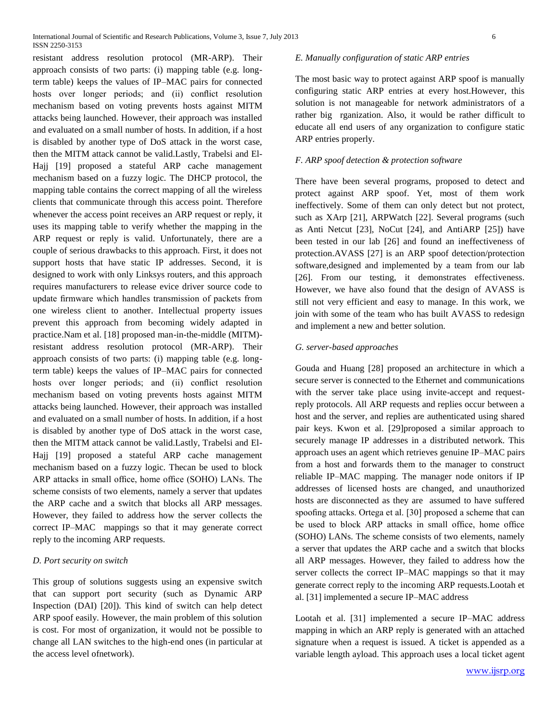resistant address resolution protocol (MR-ARP). Their approach consists of two parts: (i) mapping table (e.g. longterm table) keeps the values of IP–MAC pairs for connected hosts over longer periods; and (ii) conflict resolution mechanism based on voting prevents hosts against MITM attacks being launched. However, their approach was installed and evaluated on a small number of hosts. In addition, if a host is disabled by another type of DoS attack in the worst case, then the MITM attack cannot be valid.Lastly, Trabelsi and El-Hajj [19] proposed a stateful ARP cache management mechanism based on a fuzzy logic. The DHCP protocol, the mapping table contains the correct mapping of all the wireless clients that communicate through this access point. Therefore whenever the access point receives an ARP request or reply, it uses its mapping table to verify whether the mapping in the ARP request or reply is valid. Unfortunately, there are a couple of serious drawbacks to this approach. First, it does not support hosts that have static IP addresses. Second, it is designed to work with only Linksys routers, and this approach requires manufacturers to release evice driver source code to update firmware which handles transmission of packets from one wireless client to another. Intellectual property issues prevent this approach from becoming widely adapted in practice.Nam et al. [18] proposed man-in-the-middle (MITM) resistant address resolution protocol (MR-ARP). Their approach consists of two parts: (i) mapping table (e.g. longterm table) keeps the values of IP–MAC pairs for connected hosts over longer periods; and (ii) conflict resolution mechanism based on voting prevents hosts against MITM attacks being launched. However, their approach was installed and evaluated on a small number of hosts. In addition, if a host is disabled by another type of DoS attack in the worst case, then the MITM attack cannot be valid.Lastly, Trabelsi and El-Hajj [19] proposed a stateful ARP cache management mechanism based on a fuzzy logic. Thecan be used to block ARP attacks in small office, home office (SOHO) LANs. The scheme consists of two elements, namely a server that updates the ARP cache and a switch that blocks all ARP messages. However, they failed to address how the server collects the correct IP–MAC mappings so that it may generate correct reply to the incoming ARP requests.

## *D. Port security on switch*

This group of solutions suggests using an expensive switch that can support port security (such as Dynamic ARP Inspection (DAI) [20]). This kind of switch can help detect ARP spoof easily. However, the main problem of this solution is cost. For most of organization, it would not be possible to change all LAN switches to the high-end ones (in particular at the access level ofnetwork).

## *E. Manually configuration of static ARP entries*

The most basic way to protect against ARP spoof is manually configuring static ARP entries at every host.However, this solution is not manageable for network administrators of a rather big rganization. Also, it would be rather difficult to educate all end users of any organization to configure static ARP entries properly.

### *F. ARP spoof detection & protection software*

There have been several programs, proposed to detect and protect against ARP spoof. Yet, most of them work ineffectively. Some of them can only detect but not protect, such as XArp [21], ARPWatch [22]. Several programs (such as Anti Netcut [23], NoCut [24], and AntiARP [25]) have been tested in our lab [26] and found an ineffectiveness of protection.AVASS [27] is an ARP spoof detection/protection software,designed and implemented by a team from our lab [26]. From our testing, it demonstrates effectiveness. However, we have also found that the design of AVASS is still not very efficient and easy to manage. In this work, we join with some of the team who has built AVASS to redesign and implement a new and better solution.

#### *G. server-based approaches*

Gouda and Huang [28] proposed an architecture in which a secure server is connected to the Ethernet and communications with the server take place using invite-accept and requestreply protocols. All ARP requests and replies occur between a host and the server, and replies are authenticated using shared pair keys. Kwon et al. [29]proposed a similar approach to securely manage IP addresses in a distributed network. This approach uses an agent which retrieves genuine IP–MAC pairs from a host and forwards them to the manager to construct reliable IP–MAC mapping. The manager node onitors if IP addresses of licensed hosts are changed, and unauthorized hosts are disconnected as they are assumed to have suffered spoofing attacks. Ortega et al. [30] proposed a scheme that can be used to block ARP attacks in small office, home office (SOHO) LANs. The scheme consists of two elements, namely a server that updates the ARP cache and a switch that blocks all ARP messages. However, they failed to address how the server collects the correct IP–MAC mappings so that it may generate correct reply to the incoming ARP requests.Lootah et al. [31] implemented a secure IP–MAC address

Lootah et al. [31] implemented a secure IP–MAC address mapping in which an ARP reply is generated with an attached signature when a request is issued. A ticket is appended as a variable length ayload. This approach uses a local ticket agent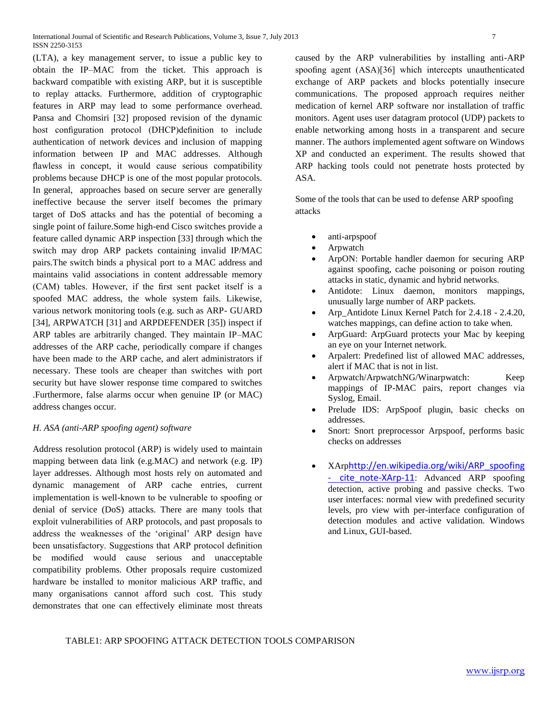(LTA), a key management server, to issue a public key to obtain the IP–MAC from the ticket. This approach is backward compatible with existing ARP, but it is susceptible to replay attacks. Furthermore, addition of cryptographic features in ARP may lead to some performance overhead. Pansa and Chomsiri [32] proposed revision of the dynamic host configuration protocol (DHCP)definition to include authentication of network devices and inclusion of mapping information between IP and MAC addresses. Although flawless in concept, it would cause serious compatibility problems because DHCP is one of the most popular protocols. In general, approaches based on secure server are generally ineffective because the server itself becomes the primary target of DoS attacks and has the potential of becoming a single point of failure.Some high-end Cisco switches provide a feature called dynamic ARP inspection [33] through which the switch may drop ARP packets containing invalid IP/MAC pairs.The switch binds a physical port to a MAC address and maintains valid associations in content addressable memory (CAM) tables. However, if the first sent packet itself is a spoofed MAC address, the whole system fails. Likewise, various network monitoring tools (e.g. such as ARP- GUARD [34], ARPWATCH [31] and ARPDEFENDER [35]) inspect if ARP tables are arbitrarily changed. They maintain IP–MAC addresses of the ARP cache, periodically compare if changes have been made to the ARP cache, and alert administrators if necessary. These tools are cheaper than switches with port security but have slower response time compared to switches .Furthermore, false alarms occur when genuine IP (or MAC) address changes occur.

## *H. ASA (anti-ARP spoofing agent) software*

Address resolution protocol (ARP) is widely used to maintain mapping between data link (e.g.MAC) and network (e.g. IP) layer addresses. Although most hosts rely on automated and dynamic management of ARP cache entries, current implementation is well-known to be vulnerable to spoofing or denial of service (DoS) attacks. There are many tools that exploit vulnerabilities of ARP protocols, and past proposals to address the weaknesses of the 'original' ARP design have been unsatisfactory. Suggestions that ARP protocol definition be modified would cause serious and unacceptable compatibility problems. Other proposals require customized hardware be installed to monitor malicious ARP traffic, and many organisations cannot afford such cost. This study demonstrates that one can effectively eliminate most threats caused by the ARP vulnerabilities by installing anti-ARP spoofing agent (ASA)[36] which intercepts unauthenticated exchange of ARP packets and blocks potentially insecure communications. The proposed approach requires neither medication of kernel ARP software nor installation of traffic monitors. Agent uses user datagram protocol (UDP) packets to enable networking among hosts in a transparent and secure manner. The authors implemented agent software on Windows XP and conducted an experiment. The results showed that ARP hacking tools could not penetrate hosts protected by ASA.

Some of the tools that can be used to defense ARP spoofing attacks

- anti-arpspoof
- [Arpwatch](http://en.wikipedia.org/wiki/Arpwatch)
- [ArpON:](http://en.wikipedia.org/wiki/ArpON) Portable handler daemon for securing ARP against spoofing, cache poisoning or poison routing attacks in static, dynamic and hybrid networks.
- Antidote: Linux daemon, monitors mappings, unusually large number of ARP packets.
- Arp\_Antidote Linux Kernel Patch for 2.4.18 2.4.20, watches mappings, can define action to take when.
- ArpGuard: ArpGuard protects your Mac by keeping an eye on your Internet network.
- Arpalert: Predefined list of allowed MAC addresses, alert if MAC that is not in list.
- Arpwatch/ArpwatchNG/Winarpwatch: Keep mappings of IP-MAC pairs, report changes via Syslog, Email.
- Prelude IDS: ArpSpoof plugin, basic checks on addresses.
- Snort: Snort preprocessor Arpspoof, performs basic checks on addresses
- XArp[http://en.wikipedia.org/wiki/ARP\\_spoofing](http://en.wikipedia.org/wiki/ARP_spoofing#cite_note-XArp-11)  - cite note-XArp-11: Advanced ARP spoofing detection, active probing and passive checks. Two user interfaces: normal view with predefined security levels, pro view with per-interface configuration of detection modules and active validation. Windows and Linux, GUI-based.

## TABLE1: ARP SPOOFING ATTACK DETECTION TOOLS COMPARISON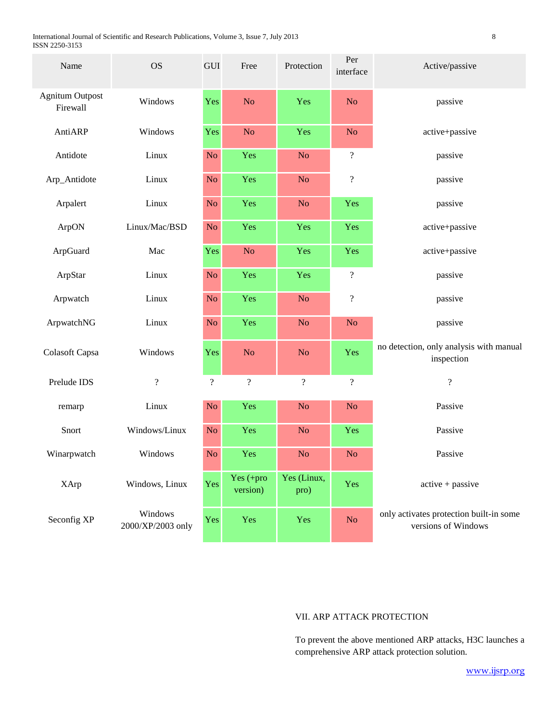International Journal of Scientific and Research Publications, Volume 3, Issue 7, July 2013 8 ISSN 2250-3153

| Name                               | <b>OS</b>                    | GUI                      | Free                     | Protection          | Per<br>interface         | Active/passive                                                 |  |
|------------------------------------|------------------------------|--------------------------|--------------------------|---------------------|--------------------------|----------------------------------------------------------------|--|
| <b>Agnitum Outpost</b><br>Firewall | Windows                      | Yes                      | No                       | Yes                 | N <sub>o</sub>           | passive                                                        |  |
| AntiARP                            | Windows                      | Yes                      | N <sub>o</sub>           | Yes                 | N <sub>o</sub>           | active+passive                                                 |  |
| Antidote                           | Linux                        | N <sub>o</sub>           | Yes                      | N <sub>o</sub>      | $\boldsymbol{?}$         | passive                                                        |  |
| Arp_Antidote                       | Linux                        | N <sub>o</sub>           | Yes                      | N <sub>o</sub>      | $\boldsymbol{?}$         | passive                                                        |  |
| Arpalert                           | Linux                        | N <sub>o</sub>           | Yes                      | N <sub>o</sub>      | Yes                      | passive                                                        |  |
| ArpON                              | Linux/Mac/BSD                | N <sub>o</sub>           | Yes                      | Yes                 | Yes                      | active+passive                                                 |  |
| ArpGuard                           | Mac                          | Yes                      | No                       | Yes                 | Yes                      | active+passive                                                 |  |
| ArpStar                            | Linux                        | No                       | Yes                      | Yes                 | $\boldsymbol{?}$         | passive                                                        |  |
| Arpwatch                           | Linux                        | N <sub>o</sub>           | Yes                      | N <sub>o</sub>      | $\overline{\mathcal{L}}$ | passive                                                        |  |
| ArpwatchNG                         | Linux                        | N <sub>o</sub>           | Yes                      | N <sub>o</sub>      | N <sub>o</sub>           | passive                                                        |  |
| Colasoft Capsa                     | Windows                      | Yes                      | No                       | N <sub>o</sub>      | Yes                      | no detection, only analysis with manual<br>inspection          |  |
| Prelude IDS                        | $\overline{\mathcal{L}}$     | $\overline{\mathcal{L}}$ | $\overline{\mathcal{L}}$ | $\overline{?}$      | $\overline{\mathcal{L}}$ | $\overline{\mathcal{L}}$                                       |  |
| remarp                             | Linux                        | N <sub>o</sub>           | Yes                      | N <sub>o</sub>      | No                       | Passive                                                        |  |
| Snort                              | Windows/Linux                | N <sub>o</sub>           | Yes                      | N <sub>o</sub>      | Yes                      | Passive                                                        |  |
| Winarpwatch                        | Windows                      | N <sub>o</sub>           | Yes                      | N <sub>o</sub>      | N <sub>o</sub>           | Passive                                                        |  |
| <b>XArp</b>                        | Windows, Linux               | Yes                      | Yes (+pro<br>version)    | Yes (Linux,<br>pro) | Yes                      | $active + passive$                                             |  |
| Seconfig XP                        | Windows<br>2000/XP/2003 only | Yes                      | Yes                      | Yes                 | No                       | only activates protection built-in some<br>versions of Windows |  |

# VII. ARP ATTACK PROTECTION

To prevent the above mentioned ARP attacks, H3C launches a comprehensive ARP attack protection solution.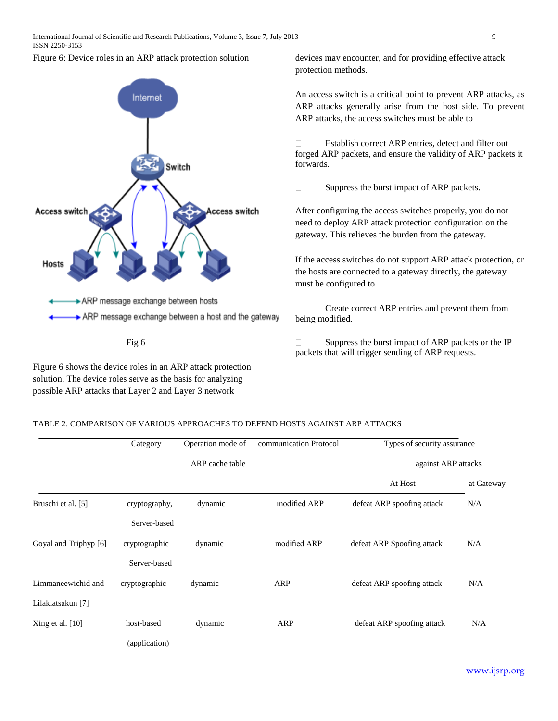



Figure 6 shows the device roles in an ARP attack protection solution. The device roles serve as the basis for analyzing possible ARP attacks that Layer 2 and Layer 3 network

devices may encounter, and for providing effective attack protection methods.

An access switch is a critical point to prevent ARP attacks, as ARP attacks generally arise from the host side. To prevent ARP attacks, the access switches must be able to

Establish correct ARP entries, detect and filter out  $\Box$ forged ARP packets, and ensure the validity of ARP packets it forwards.

 $\Box$ Suppress the burst impact of ARP packets.

After configuring the access switches properly, you do not need to deploy ARP attack protection configuration on the gateway. This relieves the burden from the gateway.

If the access switches do not support ARP attack protection, or the hosts are connected to a gateway directly, the gateway must be configured to

Create correct ARP entries and prevent them from  $\Box$ being modified.

Suppress the burst impact of ARP packets or the IP packets that will trigger sending of ARP requests.

## **T**ABLE 2: COMPARISON OF VARIOUS APPROACHES TO DEFEND HOSTS AGAINST ARP ATTACKS

|                       | Category      | Operation mode of | communication Protocol | Types of security assurance |            |
|-----------------------|---------------|-------------------|------------------------|-----------------------------|------------|
|                       |               | ARP cache table   |                        | against ARP attacks         |            |
|                       |               |                   |                        | At Host                     | at Gateway |
| Bruschi et al. [5]    | cryptography, | dynamic           | modified ARP           | defeat ARP spoofing attack  | N/A        |
|                       | Server-based  |                   |                        |                             |            |
| Goyal and Triphyp [6] | cryptographic | dynamic           | modified ARP           | defeat ARP Spoofing attack  | N/A        |
|                       | Server-based  |                   |                        |                             |            |
| Limmaneewichid and    | cryptographic | dynamic           | ARP                    | defeat ARP spoofing attack  | N/A        |
| Lilakiatsakun [7]     |               |                   |                        |                             |            |
| Xing et al. $[10]$    | host-based    | dynamic           | ARP                    | defeat ARP spoofing attack  | N/A        |
|                       | (application) |                   |                        |                             |            |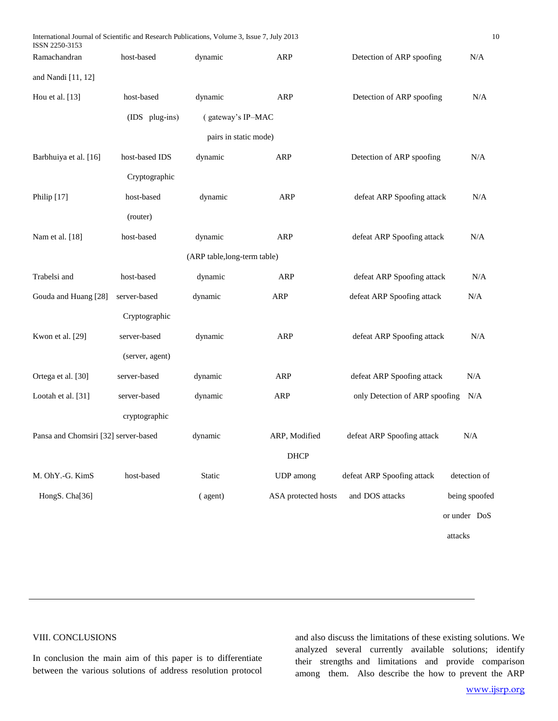| International Journal of Scientific and Research Publications, Volume 3, Issue 7, July 2013<br>ISSN 2250-3153 |                 |                              |                     |                                | 10            |
|---------------------------------------------------------------------------------------------------------------|-----------------|------------------------------|---------------------|--------------------------------|---------------|
| Ramachandran                                                                                                  | host-based      | dynamic                      | ARP                 | Detection of ARP spoofing      | N/A           |
| and Nandi [11, 12]                                                                                            |                 |                              |                     |                                |               |
| Hou et al. [13]                                                                                               | host-based      | dynamic                      | <b>ARP</b>          | Detection of ARP spoofing      | N/A           |
|                                                                                                               | (IDS plug-ins)  | (gateway's IP-MAC            |                     |                                |               |
|                                                                                                               |                 | pairs in static mode)        |                     |                                |               |
| Barbhuiya et al. [16]                                                                                         | host-based IDS  | dynamic                      | <b>ARP</b>          | Detection of ARP spoofing      | N/A           |
|                                                                                                               | Cryptographic   |                              |                     |                                |               |
| Philip [17]                                                                                                   | host-based      | dynamic                      | ARP                 | defeat ARP Spoofing attack     | N/A           |
|                                                                                                               | (router)        |                              |                     |                                |               |
| Nam et al. [18]                                                                                               | host-based      | dynamic                      | <b>ARP</b>          | defeat ARP Spoofing attack     | $\rm N/A$     |
|                                                                                                               |                 | (ARP table, long-term table) |                     |                                |               |
| Trabelsi and                                                                                                  | host-based      | dynamic                      | ARP                 | defeat ARP Spoofing attack     | $\rm N/A$     |
| Gouda and Huang [28]                                                                                          | server-based    | dynamic                      | <b>ARP</b>          | defeat ARP Spoofing attack     | N/A           |
|                                                                                                               | Cryptographic   |                              |                     |                                |               |
| Kwon et al. [29]                                                                                              | server-based    | dynamic                      | <b>ARP</b>          | defeat ARP Spoofing attack     | N/A           |
|                                                                                                               | (server, agent) |                              |                     |                                |               |
| Ortega et al. [30]                                                                                            | server-based    | dynamic                      | <b>ARP</b>          | defeat ARP Spoofing attack     | N/A           |
| Lootah et al. [31]                                                                                            | server-based    | dynamic                      | <b>ARP</b>          | only Detection of ARP spoofing | N/A           |
|                                                                                                               | cryptographic   |                              |                     |                                |               |
| Pansa and Chomsiri [32] server-based                                                                          |                 | dynamic                      | ARP, Modified       | defeat ARP Spoofing attack     | N/A           |
|                                                                                                               |                 |                              | <b>DHCP</b>         |                                |               |
| M. OhY.-G. KimS                                                                                               | host-based      | Static                       | UDP among           | defeat ARP Spoofing attack     | detection of  |
| HongS. Cha[36]                                                                                                |                 | (agent)                      | ASA protected hosts | and DOS attacks                | being spoofed |
|                                                                                                               |                 |                              |                     |                                | or under DoS  |
|                                                                                                               |                 |                              |                     |                                | attacks       |
|                                                                                                               |                 |                              |                     |                                |               |

# VIII. CONCLUSIONS

 $\overline{a}$ 

In conclusion the main aim of this paper is to differentiate between the various solutions of address resolution protocol and also discuss the limitations of these existing solutions. We analyzed several currently available solutions; identify their strengths and limitations and provide comparison among them. Also describe the how to prevent the ARP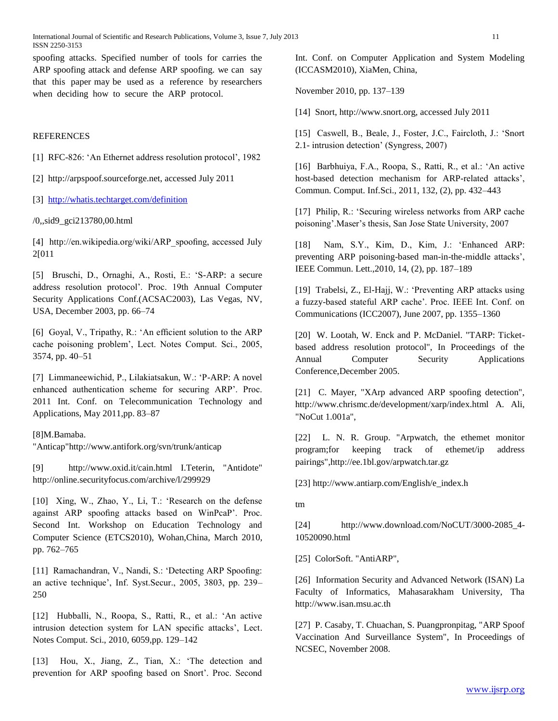spoofing attacks. Specified number of tools for carries the ARP spoofing attack and defense ARP spoofing. we can say that this paper may be used as a reference by researchers when deciding how to secure the ARP protocol.

## REFERENCES

[1] RFC-826: 'An Ethernet address resolution protocol', 1982

[2] http://arpspoof.sourceforge.net, accessed July 2011

[3]<http://whatis.techtarget.com/definition>

/0,,sid9\_gci213780,00.html

[4] http://en.wikipedia.org/wiki/ARP spoofing, accessed July 2[011

[5] Bruschi, D., Ornaghi, A., Rosti, E.: 'S-ARP: a secure address resolution protocol'. Proc. 19th Annual Computer Security Applications Conf.(ACSAC2003), Las Vegas, NV, USA, December 2003, pp. 66–74

[6] Goyal, V., Tripathy, R.: 'An efficient solution to the ARP cache poisoning problem', Lect. Notes Comput. Sci., 2005, 3574, pp. 40–51

[7] Limmaneewichid, P., Lilakiatsakun, W.: 'P-ARP: A novel enhanced authentication scheme for securing ARP'. Proc. 2011 Int. Conf. on Telecommunication Technology and Applications, May 2011,pp. 83–87

## [8]M.Bamaba.

"Anticap"http://www.antifork.org/svn/trunk/anticap

[9] <http://www.oxid.it/cain.html> I.Teterin, "Antidote" http://online.securityfocus.com/archive/l/299929

[10] Xing, W., Zhao, Y., Li, T.: 'Research on the defense against ARP spoofing attacks based on WinPcaP'. Proc. Second Int. Workshop on Education Technology and Computer Science (ETCS2010), Wohan,China, March 2010, pp. 762–765

[11] Ramachandran, V., Nandi, S.: 'Detecting ARP Spoofing: an active technique', Inf. Syst.Secur., 2005, 3803, pp. 239– 250

[12] Hubballi, N., Roopa, S., Ratti, R., et al.: 'An active intrusion detection system for LAN specific attacks', Lect. Notes Comput. Sci., 2010, 6059,pp. 129–142

[13] Hou, X., Jiang, Z., Tian, X.: 'The detection and prevention for ARP spoofing based on Snort'. Proc. Second

Int. Conf. on Computer Application and System Modeling (ICCASM2010), XiaMen, China,

November 2010, pp. 137–139

[14] Snort, http://www.snort.org, accessed July 2011

[15] Caswell, B., Beale, J., Foster, J.C., Faircloth, J.: 'Snort 2.1- intrusion detection' (Syngress, 2007)

[16] Barbhuiya, F.A., Roopa, S., Ratti, R., et al.: 'An active host-based detection mechanism for ARP-related attacks', Commun. Comput. Inf.Sci., 2011, 132, (2), pp. 432–443

[17] Philip, R.: 'Securing wireless networks from ARP cache poisoning'.Maser's thesis, San Jose State University, 2007

[18] Nam, S.Y., Kim, D., Kim, J.: 'Enhanced ARP: preventing ARP poisoning-based man-in-the-middle attacks', IEEE Commun. Lett.,2010, 14, (2), pp. 187–189

[19] Trabelsi, Z., El-Hajj, W.: 'Preventing ARP attacks using a fuzzy-based stateful ARP cache'. Proc. IEEE Int. Conf. on Communications (ICC2007), June 2007, pp. 1355–1360

[20] W. Lootah, W. Enck and P. McDaniel. "TARP: Ticketbased address resolution protocol", In Proceedings of the Annual Computer Security Applications Conference,December 2005.

[21] C. Mayer, "XArp advanced ARP spoofing detection", <http://www.chrismc.de/development/xarp/index.html> A. Ali, "NoCut 1.001a",

[22] L. N. R. Group. "Arpwatch, the ethemet monitor program;for keeping track of ethemet/ip address pairings",http://ee.1bl.gov/arpwatch.tar.gz

[23] http://www.antiarp.com/English/e\_index.h

[tm](http://www.antiarp.com/English/e_index.h%20%20tm)

[24] [http://www.download.com/NoCUT/3000-2085\\_4-](http://www.download.com/NoCUT/3000-2085_4-) 10520090.html

[25] ColorSoft. "AntiARP",

[26] Information Security and Advanced Network (ISAN) La Faculty of Informatics, Mahasarakham University, Tha http://www.isan.msu.ac.th

[27] P. Casaby, T. Chuachan, S. Puangpronpitag, "ARP Spoof Vaccination And Surveillance System", In Proceedings of NCSEC, November 2008.